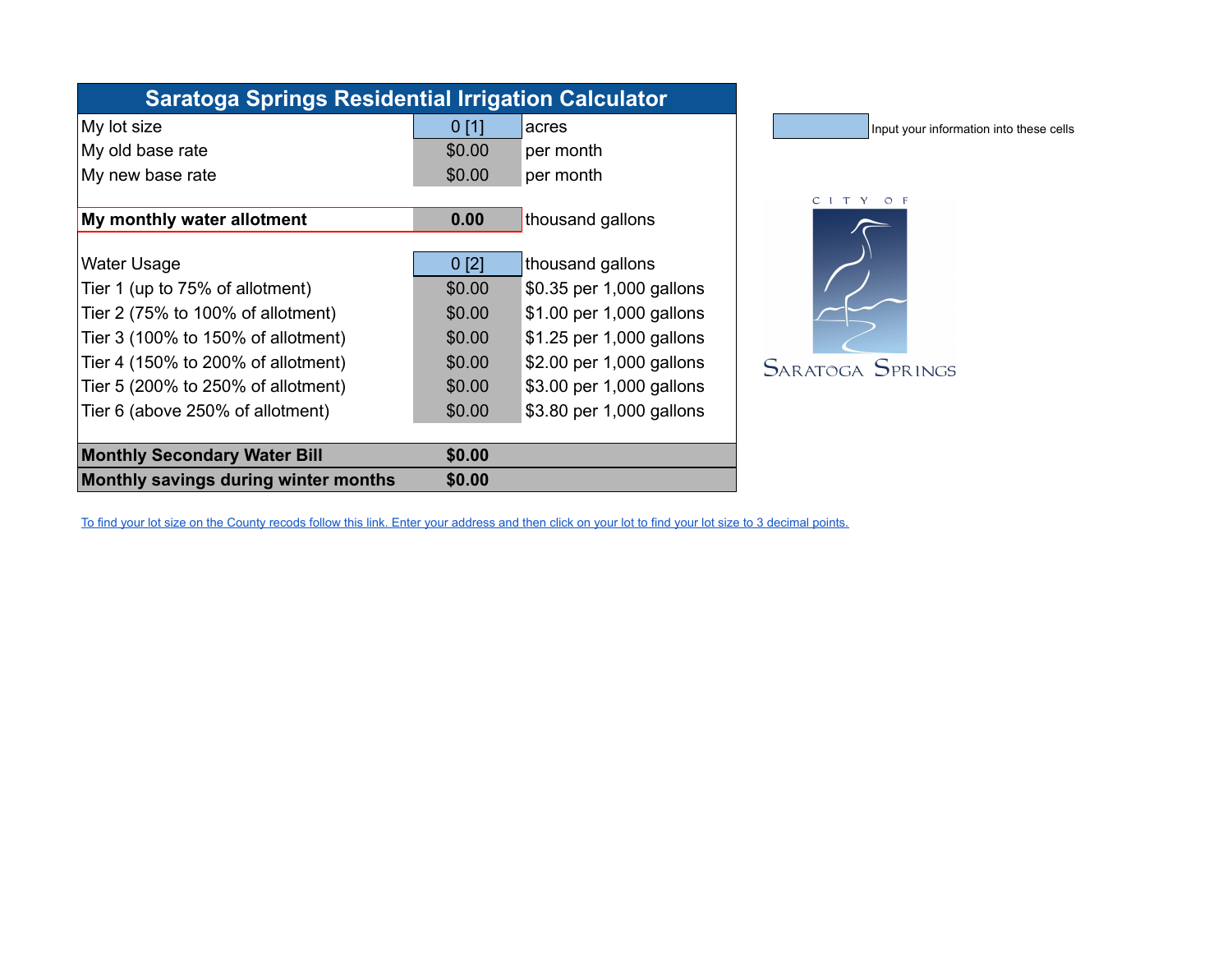| <b>Saratoga Springs Residential Irrigation Calculator</b> |        |                          |                                      |
|-----------------------------------------------------------|--------|--------------------------|--------------------------------------|
| My lot size                                               | 0[1]   | acres                    | Input your information into these co |
| My old base rate                                          | \$0.00 | per month                |                                      |
| My new base rate                                          | \$0.00 | per month                |                                      |
| My monthly water allotment                                | 0.00   | thousand gallons         | CITY OF                              |
| <b>Water Usage</b>                                        | 0[2]   | thousand gallons         |                                      |
| Tier 1 (up to 75% of allotment)                           | \$0.00 | \$0.35 per 1,000 gallons |                                      |
| Tier 2 (75% to 100% of allotment)                         | \$0.00 | \$1.00 per 1,000 gallons |                                      |
| Tier 3 (100% to 150% of allotment)                        | \$0.00 | \$1.25 per 1,000 gallons |                                      |
| Tier 4 (150% to 200% of allotment)                        | \$0.00 | \$2.00 per 1,000 gallons | <b>SARATOGA SPRINGS</b>              |
| Tier 5 (200% to 250% of allotment)                        | \$0.00 | \$3.00 per 1,000 gallons |                                      |
| Tier 6 (above 250% of allotment)                          | \$0.00 | \$3.80 per 1,000 gallons |                                      |
| <b>Monthly Secondary Water Bill</b>                       | \$0.00 |                          |                                      |
| Monthly savings during winter months                      | \$0.00 |                          |                                      |



[To find your lot size on the County recods follow this link. Enter your address and then click on your lot to find your lot size to 3 decimal points.](http://maps2.utahcountyonline.org/ParcelMap/ParcelMap.html)